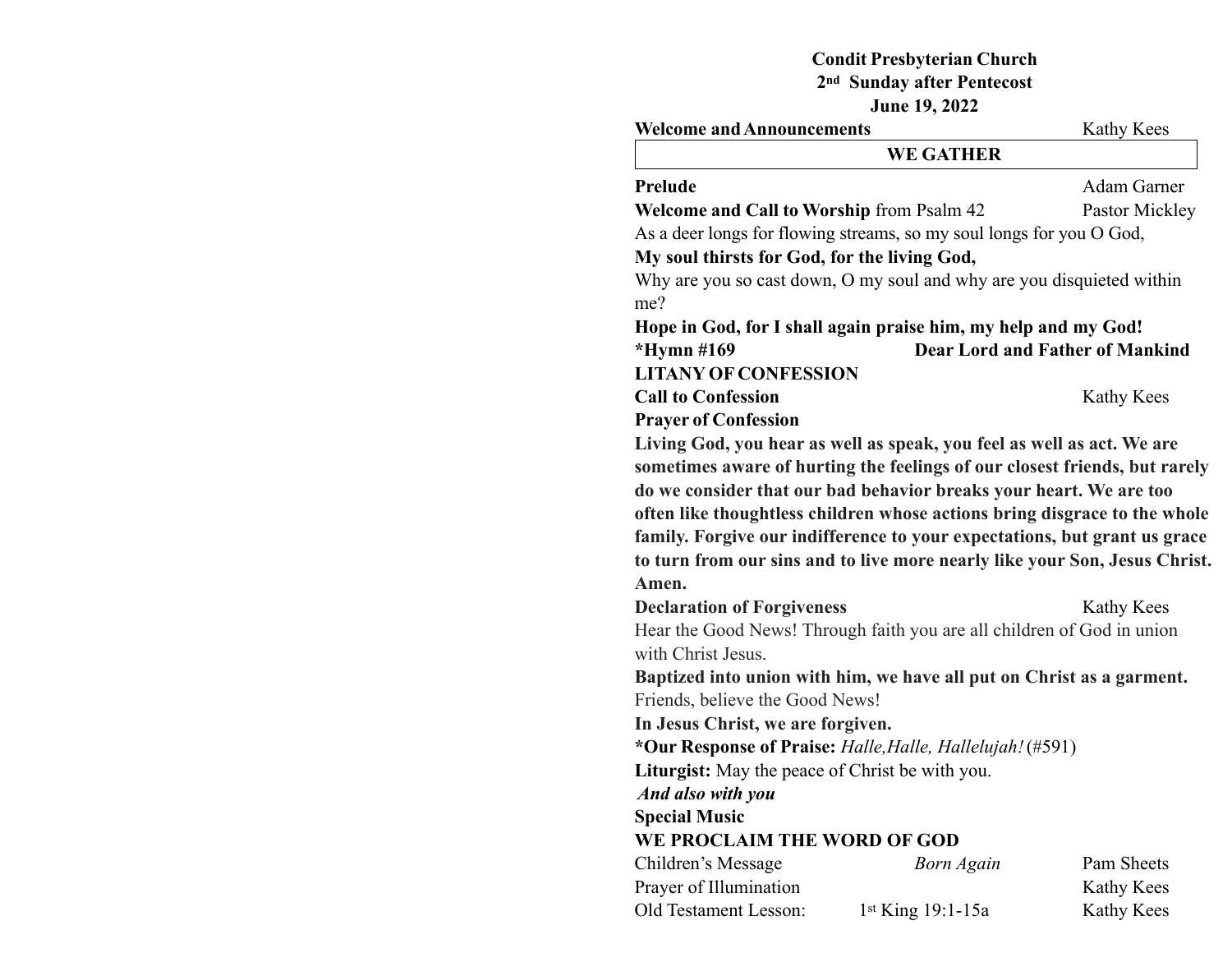# **Condit Presbyterian Church 2nd Sunday after Pentecost**

**June 19, 2022**

| <b>Welcome and Announcements</b>                 | Kathy Kees                                                                 |                                        |
|--------------------------------------------------|----------------------------------------------------------------------------|----------------------------------------|
|                                                  | <b>WE GATHER</b>                                                           |                                        |
| Prelude                                          |                                                                            | Adam Garner                            |
| <b>Welcome and Call to Worship from Psalm 42</b> |                                                                            | Pastor Mickley                         |
|                                                  | As a deer longs for flowing streams, so my soul longs for you O God,       |                                        |
| My soul thirsts for God, for the living God,     |                                                                            |                                        |
| me?                                              | Why are you so cast down, O my soul and why are you disquieted within      |                                        |
|                                                  | Hope in God, for I shall again praise him, my help and my God!             |                                        |
| *Hymn #169                                       |                                                                            | <b>Dear Lord and Father of Mankind</b> |
| <b>LITANY OF CONFESSION</b>                      |                                                                            |                                        |
| <b>Call to Confession</b>                        |                                                                            | Kathy Kees                             |
| <b>Prayer of Confession</b>                      |                                                                            |                                        |
|                                                  | Living God, you hear as well as speak, you feel as well as act. We are     |                                        |
|                                                  | sometimes aware of hurting the feelings of our closest friends, but rarely |                                        |
|                                                  | do we consider that our bad behavior breaks your heart. We are too         |                                        |
|                                                  | often like thoughtless children whose actions bring disgrace to the whole  |                                        |
|                                                  | family. Forgive our indifference to your expectations, but grant us grace  |                                        |
|                                                  | to turn from our sins and to live more nearly like your Son, Jesus Christ. |                                        |
| Amen.                                            |                                                                            |                                        |
| <b>Declaration of Forgiveness</b>                |                                                                            | Kathy Kees                             |
|                                                  | Hear the Good News! Through faith you are all children of God in union     |                                        |
| with Christ Jesus.                               |                                                                            |                                        |
|                                                  | Baptized into union with him, we have all put on Christ as a garment.      |                                        |
| Friends, believe the Good News!                  |                                                                            |                                        |
| In Jesus Christ, we are forgiven.                |                                                                            |                                        |
|                                                  | *Our Response of Praise: Halle, Halle, Hallelujah! (#591)                  |                                        |
| Liturgist: May the peace of Christ be with you.  |                                                                            |                                        |
| And also with you                                |                                                                            |                                        |
| <b>Special Music</b>                             |                                                                            |                                        |
| WE PROCLAIM THE WORD OF GOD                      |                                                                            |                                        |
| Children's Message                               | <b>Born Again</b>                                                          | Pam Sheets                             |
| Prayer of Illumination                           |                                                                            | Kathy Kees                             |
| Old Testament Lesson:                            | 1st King 19:1-15a                                                          | Kathy Kees                             |